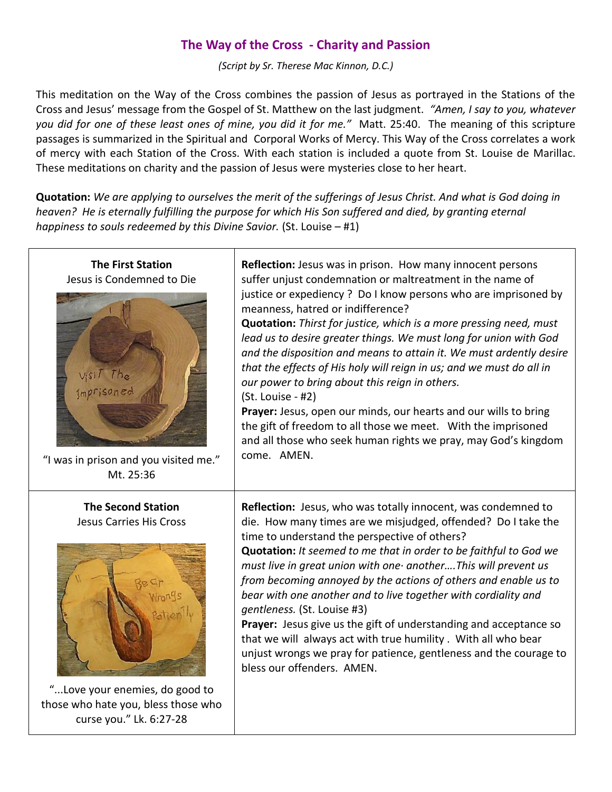# **The Way of the Cross - Charity and Passion**

*(Script by Sr. Therese Mac Kinnon, D.C.)*

This meditation on the Way of the Cross combines the passion of Jesus as portrayed in the Stations of the Cross and Jesus' message from the Gospel of St. Matthew on the last judgment. *"Amen, I say to you, whatever you did for one of these least ones of mine, you did it for me."* Matt. 25:40. The meaning of this scripture passages is summarized in the Spiritual and Corporal Works of Mercy. This Way of the Cross correlates a work of mercy with each Station of the Cross. With each station is included a quote from St. Louise de Marillac. These meditations on charity and the passion of Jesus were mysteries close to her heart.

**Quotation:** *We are applying to ourselves the merit of the sufferings of Jesus Christ. And what is God doing in heaven?* He is eternally fulfilling the purpose for which His Son suffered and died, by granting eternal *happiness to souls redeemed by this Divine Savior.* (St. Louise – #1)

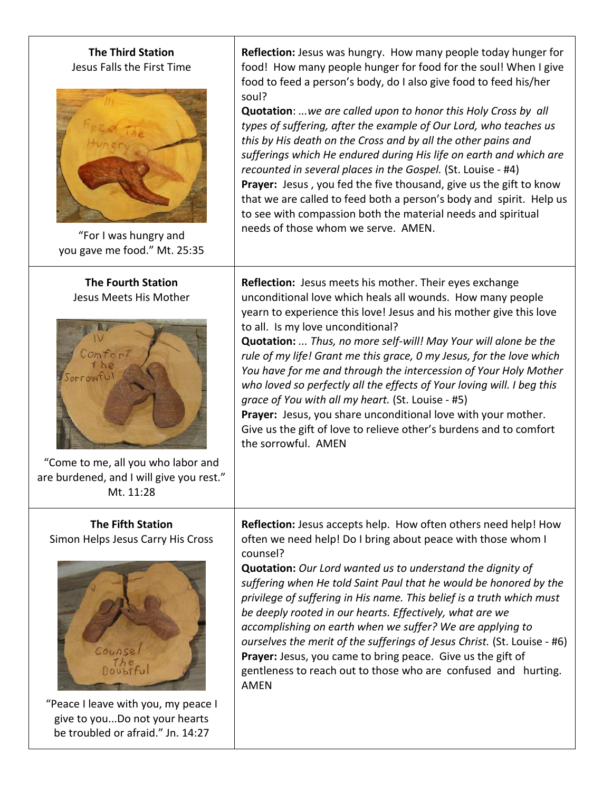## **The Third Station** Jesus Falls the First Time



"For I was hungry and you gave me food." Mt. 25:35

### **The Fourth Station** Jesus Meets His Mother



"Come to me, all you who labor and are burdened, and I will give you rest." Mt. 11:28

### **The Fifth Station** Simon Helps Jesus Carry His Cross



"Peace I leave with you, my peace I give to you...Do not your hearts be troubled or afraid." Jn. 14:27

**Reflection:** Jesus was hungry. How many people today hunger for food! How many people hunger for food for the soul! When I give food to feed a person's body, do I also give food to feed his/her soul?

**Quotation**: *...we are called upon to honor this Holy Cross by all types of suffering, after the example of Our Lord, who teaches us this by His death on the Cross and by all the other pains and sufferings which He endured during His life on earth and which are recounted in several places in the Gospel.* (St. Louise - #4) **Prayer:** Jesus , you fed the five thousand, give us the gift to know that we are called to feed both a person's body and spirit. Help us to see with compassion both the material needs and spiritual needs of those whom we serve. AMEN.

**Reflection:** Jesus meets his mother. Their eyes exchange unconditional love which heals all wounds. How many people yearn to experience this love! Jesus and his mother give this love to all. Is my love unconditional?

**Quotation:** *... Thus, no more self-will! May Your will alone be the rule of my life! Grant me this grace, 0 my Jesus, for the love which You have for me and through the intercession of Your Holy Mother who loved so perfectly all the effects of Your loving will. I beg this grace of You with all my heart.* (St. Louise - #5)

**Prayer:** Jesus, you share unconditional love with your mother. Give us the gift of love to relieve other's burdens and to comfort the sorrowful. AMEN

**Reflection:** Jesus accepts help. How often others need help! How often we need help! Do I bring about peace with those whom I counsel?

**Quotation:** *Our Lord wanted us to understand the dignity of suffering when He told Saint Paul that he would be honored by the privilege of suffering in His name. This belief is a truth which must be deeply rooted in our hearts. Effectively, what are we accomplishing on earth when we suffer? We are applying to ourselves the merit of the sufferings of Jesus Christ.* (St. Louise - #6) Prayer: Jesus, you came to bring peace. Give us the gift of gentleness to reach out to those who are confused and hurting. AMEN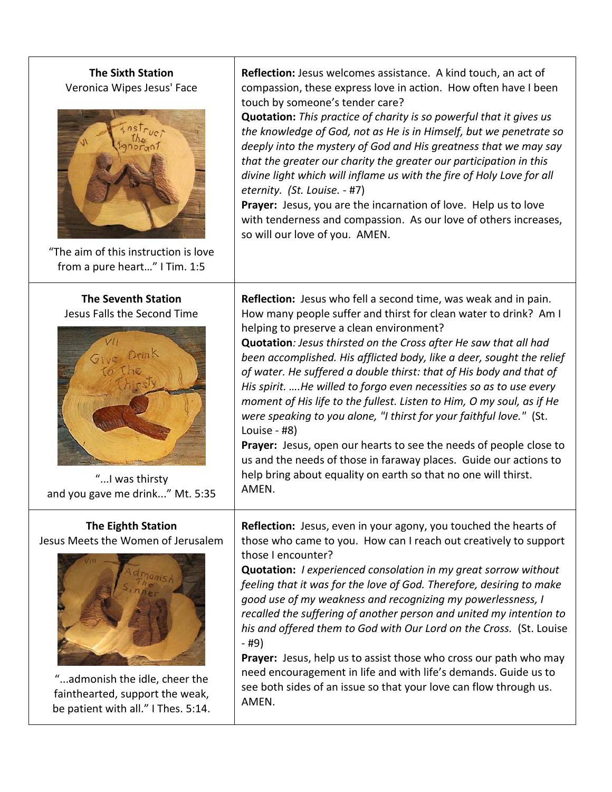## **The Sixth Station** Veronica Wipes Jesus' Face



"The aim of this instruction is love from a pure heart…" I Tim. 1:5

#### **The Seventh Station** Jesus Falls the Second Time



"...I was thirsty and you gave me drink..." Mt. 5:35

## **The Eighth Station**

Jesus Meets the Women of Jerusalem



"...admonish the idle, cheer the fainthearted, support the weak, be patient with all." I Thes. 5:14.

**Reflection:** Jesus welcomes assistance. A kind touch, an act of compassion, these express love in action. How often have I been touch by someone's tender care?

**Quotation:** *This practice of charity is so powerful that it gives us the knowledge of God, not as He is in Himself, but we penetrate so deeply into the mystery of God and His greatness that we may say that the greater our charity the greater our participation in this divine light which will inflame us with the fire of Holy Love for all eternity. (St. Louise.* - #7)

**Prayer:** Jesus, you are the incarnation of love. Help us to love with tenderness and compassion. As our love of others increases, so will our love of you. AMEN.

**Reflection:** Jesus who fell a second time, was weak and in pain. How many people suffer and thirst for clean water to drink? Am I helping to preserve a clean environment?

**Quotation***: Jesus thirsted on the Cross after He saw that all had been accomplished. His afflicted body, like a deer, sought the relief of water. He suffered a double thirst: that of His body and that of His spirit. ….He willed to forgo even necessities so as to use every moment of His life to the fullest. Listen to Him, O my soul, as if He were speaking to you alone, "I thirst for your faithful love."* (St. Louise - #8)

Prayer: Jesus, open our hearts to see the needs of people close to us and the needs of those in faraway places. Guide our actions to help bring about equality on earth so that no one will thirst. AMEN.

**Reflection:** Jesus, even in your agony, you touched the hearts of those who came to you. How can I reach out creatively to support those I encounter?

**Quotation:** *I experienced consolation in my great sorrow without feeling that it was for the love of God. Therefore, desiring to make good use of my weakness and recognizing my powerlessness, I recalled the suffering of another person and united my intention to his and offered them to God with Our Lord on the Cross.* (St. Louise - #9)

**Prayer:** Jesus, help us to assist those who cross our path who may need encouragement in life and with life's demands. Guide us to see both sides of an issue so that your love can flow through us. AMEN.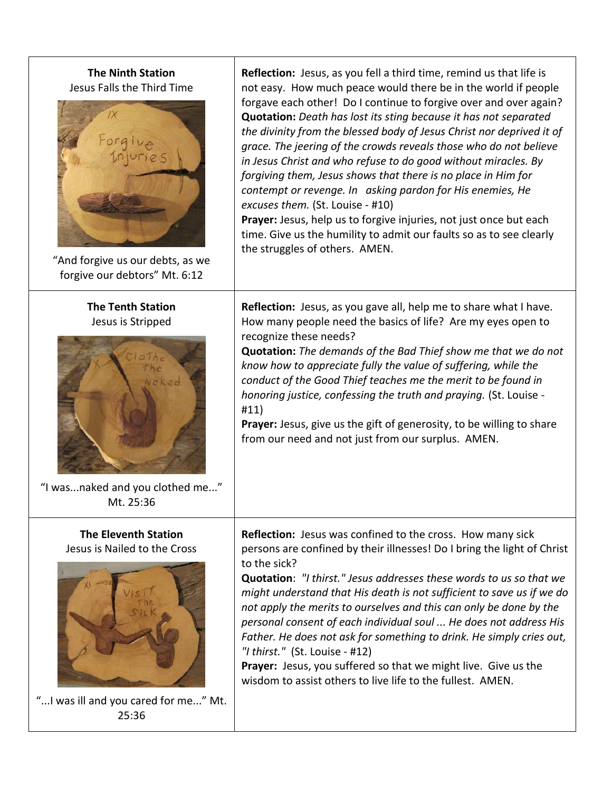## **The Ninth Station** Jesus Falls the Third Time



"And forgive us our debts, as we forgive our debtors" Mt. 6:12

### **The Tenth Station** Jesus is Stripped



"I was...naked and you clothed me..." Mt. 25:36

### **The Eleventh Station** Jesus is Nailed to the Cross



"...I was ill and you cared for me..." Mt. 25:36

**Reflection:** Jesus, as you fell a third time, remind us that life is not easy. How much peace would there be in the world if people forgave each other! Do I continue to forgive over and over again? **Quotation:** *Death has lost its sting because it has not separated the divinity from the blessed body of Jesus Christ nor deprived it of grace. The jeering of the crowds reveals those who do not believe in Jesus Christ and who refuse to do good without miracles. By forgiving them, Jesus shows that there is no place in Him for contempt or revenge. In asking pardon for His enemies, He excuses them.* (St. Louise - #10)

Prayer: Jesus, help us to forgive injuries, not just once but each time. Give us the humility to admit our faults so as to see clearly the struggles of others. AMEN.

**Reflection:** Jesus, as you gave all, help me to share what I have. How many people need the basics of life? Are my eyes open to recognize these needs?

**Quotation:** *The demands of the Bad Thief show me that we do not know how to appreciate fully the value of suffering, while the conduct of the Good Thief teaches me the merit to be found in honoring justice, confessing the truth and praying.* (St. Louise - #11)

**Prayer:** Jesus, give us the gift of generosity, to be willing to share from our need and not just from our surplus. AMEN.

**Reflection:** Jesus was confined to the cross. How many sick persons are confined by their illnesses! Do I bring the light of Christ to the sick?

**Quotation**: *"I thirst." Jesus addresses these words to us so that we might understand that His death is not sufficient to save us if we do not apply the merits to ourselves and this can only be done by the personal consent of each individual soul ... He does not address His Father. He does not ask for something to drink. He simply cries out, "I thirst."* (St. Louise - #12)

**Prayer:** Jesus, you suffered so that we might live. Give us the wisdom to assist others to live life to the fullest. AMEN.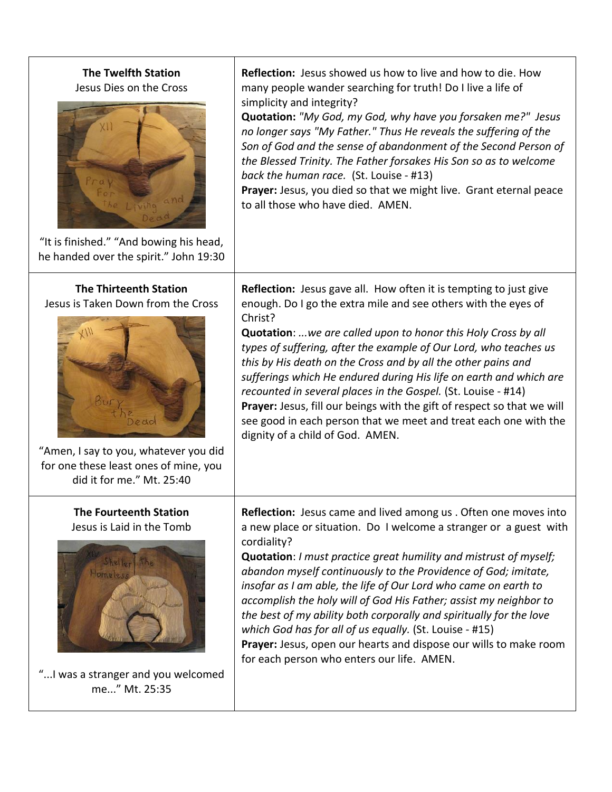### **The Twelfth Station** Jesus Dies on the Cross



**Reflection:** Jesus showed us how to live and how to die. How many people wander searching for truth! Do I live a life of simplicity and integrity?

**Quotation:** *"My God, my God, why have you forsaken me?" Jesus no longer says "My Father." Thus He reveals the suffering of the Son of God and the sense of abandonment of the Second Person of the Blessed Trinity. The Father forsakes His Son so as to welcome back the human race.* (St. Louise - #13)

**Prayer:** Jesus, you died so that we might live. Grant eternal peace to all those who have died. AMEN.

"It is finished." "And bowing his head, he handed over the spirit." John 19:30

## **The Thirteenth Station** Jesus is Taken Down from the Cross



"Amen, I say to you, whatever you did for one these least ones of mine, you did it for me." Mt. 25:40

## **The Fourteenth Station** Jesus is Laid in the Tomb



"...I was a stranger and you welcomed me..." Mt. 25:35

**Reflection:** Jesus gave all. How often it is tempting to just give enough. Do I go the extra mile and see others with the eyes of Christ?

**Quotation**: *...we are called upon to honor this Holy Cross by all types of suffering, after the example of Our Lord, who teaches us this by His death on the Cross and by all the other pains and sufferings which He endured during His life on earth and which are recounted in several places in the Gospel.* (St. Louise - #14) Prayer: Jesus, fill our beings with the gift of respect so that we will see good in each person that we meet and treat each one with the dignity of a child of God. AMEN.

**Reflection:** Jesus came and lived among us . Often one moves into a new place or situation. Do I welcome a stranger or a guest with cordiality?

**Quotation**: *I must practice great humility and mistrust of myself; abandon myself continuously to the Providence of God; imitate, insofar as I am able, the life of Our Lord who came on earth to accomplish the holy will of God His Father; assist my neighbor to the best of my ability both corporally and spiritually for the love which God has for all of us equally.* (St. Louise - #15) **Prayer:** Jesus, open our hearts and dispose our wills to make room for each person who enters our life. AMEN.